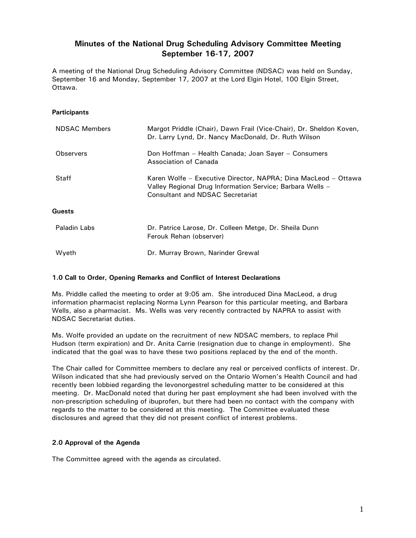# **Minutes of the National Drug Scheduling Advisory Committee Meeting September 16-17, 2007**

A meeting of the National Drug Scheduling Advisory Committee (NDSAC) was held on Sunday, September 16 and Monday, September 17, 2007 at the Lord Elgin Hotel, 100 Elgin Street, Ottawa.

## **Participants**

| <b>NDSAC Members</b> | Margot Priddle (Chair), Dawn Frail (Vice-Chair), Dr. Sheldon Koven,<br>Dr. Larry Lynd, Dr. Nancy MacDonald, Dr. Ruth Wilson                                            |
|----------------------|------------------------------------------------------------------------------------------------------------------------------------------------------------------------|
| <b>Observers</b>     | Don Hoffman – Health Canada; Joan Sayer – Consumers<br>Association of Canada                                                                                           |
| <b>Staff</b>         | Karen Wolfe - Executive Director, NAPRA; Dina MacLeod - Ottawa<br>Valley Regional Drug Information Service; Barbara Wells -<br><b>Consultant and NDSAC Secretariat</b> |
| Guests               |                                                                                                                                                                        |
| Paladin Labs         | Dr. Patrice Larose, Dr. Colleen Metge, Dr. Sheila Dunn<br>Ferouk Rehan (observer)                                                                                      |
| Wyeth                | Dr. Murray Brown, Narinder Grewal                                                                                                                                      |

## **1.0 Call to Order, Opening Remarks and Conflict of Interest Declarations**

Ms. Priddle called the meeting to order at 9:05 am. She introduced Dina MacLeod, a drug information pharmacist replacing Norma Lynn Pearson for this particular meeting, and Barbara Wells, also a pharmacist. Ms. Wells was very recently contracted by NAPRA to assist with NDSAC Secretariat duties.

Ms. Wolfe provided an update on the recruitment of new NDSAC members, to replace Phil Hudson (term expiration) and Dr. Anita Carrie (resignation due to change in employment). She indicated that the goal was to have these two positions replaced by the end of the month.

The Chair called for Committee members to declare any real or perceived conflicts of interest. Dr. Wilson indicated that she had previously served on the Ontario Women's Health Council and had recently been lobbied regarding the levonorgestrel scheduling matter to be considered at this meeting. Dr. MacDonald noted that during her past employment she had been involved with the non-prescription scheduling of ibuprofen, but there had been no contact with the company with regards to the matter to be considered at this meeting. The Committee evaluated these disclosures and agreed that they did not present conflict of interest problems.

## **2.0 Approval of the Agenda**

The Committee agreed with the agenda as circulated.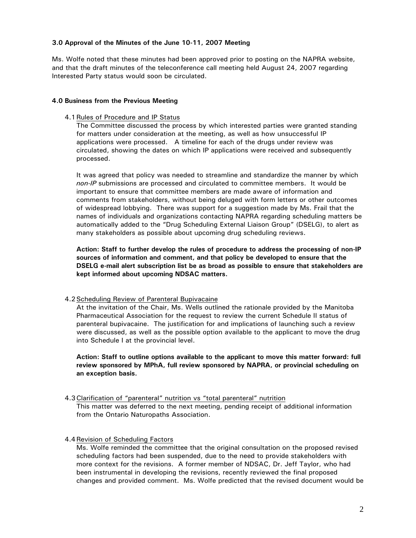## **3.0 Approval of the Minutes of the June 10-11, 2007 Meeting**

Ms. Wolfe noted that these minutes had been approved prior to posting on the NAPRA website, and that the draft minutes of the teleconference call meeting held August 24, 2007 regarding Interested Party status would soon be circulated.

## **4.0 Business from the Previous Meeting**

## 4.1 Rules of Procedure and IP Status

The Committee discussed the process by which interested parties were granted standing for matters under consideration at the meeting, as well as how unsuccessful IP applications were processed. A timeline for each of the drugs under review was circulated, showing the dates on which IP applications were received and subsequently processed.

It was agreed that policy was needed to streamline and standardize the manner by which *non-IP* submissions are processed and circulated to committee members. It would be important to ensure that committee members are made aware of information and comments from stakeholders, without being deluged with form letters or other outcomes of widespread lobbying. There was support for a suggestion made by Ms. Frail that the names of individuals and organizations contacting NAPRA regarding scheduling matters be automatically added to the "Drug Scheduling External Liaison Group" (DSELG), to alert as many stakeholders as possible about upcoming drug scheduling reviews.

**Action: Staff to further develop the rules of procedure to address the processing of non-IP sources of information and comment, and that policy be developed to ensure that the DSELG e-mail alert subscription list be as broad as possible to ensure that stakeholders are kept informed about upcoming NDSAC matters.** 

## 4.2 Scheduling Review of Parenteral Bupivacaine

At the invitation of the Chair, Ms. Wells outlined the rationale provided by the Manitoba Pharmaceutical Association for the request to review the current Schedule II status of parenteral bupivacaine. The justification for and implications of launching such a review were discussed, as well as the possible option available to the applicant to move the drug into Schedule I at the provincial level.

**Action: Staff to outline options available to the applicant to move this matter forward: full review sponsored by MPhA, full review sponsored by NAPRA, or provincial scheduling on an exception basis.** 

## 4.3 Clarification of "parenteral" nutrition vs "total parenteral" nutrition

This matter was deferred to the next meeting, pending receipt of additional information from the Ontario Naturopaths Association.

## 4.4 Revision of Scheduling Factors

Ms. Wolfe reminded the committee that the original consultation on the proposed revised scheduling factors had been suspended, due to the need to provide stakeholders with more context for the revisions. A former member of NDSAC, Dr. Jeff Taylor, who had been instrumental in developing the revisions, recently reviewed the final proposed changes and provided comment. Ms. Wolfe predicted that the revised document would be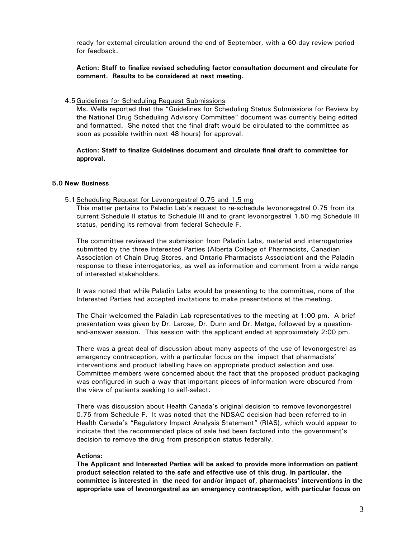ready for external circulation around the end of September, with a 60-day review period for feedback.

**Action: Staff to finalize revised scheduling factor consultation document and circulate for comment. Results to be considered at next meeting.** 

### 4.5 Guidelines for Scheduling Request Submissions

Ms. Wells reported that the "Guidelines for Scheduling Status Submissions for Review by the National Drug Scheduling Advisory Committee" document was currently being edited and formatted. She noted that the final draft would be circulated to the committee as soon as possible (within next 48 hours) for approval.

**Action: Staff to finalize Guidelines document and circulate final draft to committee for approval.** 

### **5.0 New Business**

### 5.1 Scheduling Request for Levonorgestrel 0.75 and 1.5 mg

This matter pertains to Paladin Lab's request to re-schedule levonoregstrel 0.75 from its current Schedule II status to Schedule III and to grant levonorgestrel 1.50 mg Schedule III status, pending its removal from federal Schedule F.

The committee reviewed the submission from Paladin Labs, material and interrogatories submitted by the three Interested Parties (Alberta College of Pharmacists, Canadian Association of Chain Drug Stores, and Ontario Pharmacists Association) and the Paladin response to these interrogatories, as well as information and comment from a wide range of interested stakeholders.

It was noted that while Paladin Labs would be presenting to the committee, none of the Interested Parties had accepted invitations to make presentations at the meeting.

The Chair welcomed the Paladin Lab representatives to the meeting at 1:00 pm. A brief presentation was given by Dr. Larose, Dr. Dunn and Dr. Metge, followed by a questionand-answer session. This session with the applicant ended at approximately 2:00 pm.

There was a great deal of discussion about many aspects of the use of levonorgestrel as emergency contraception, with a particular focus on the impact that pharmacists' interventions and product labelling have on appropriate product selection and use. Committee members were concerned about the fact that the proposed product packaging was configured in such a way that important pieces of information were obscured from the view of patients seeking to self-select.

There was discussion about Health Canada's original decision to remove levonorgestrel 0.75 from Schedule F. It was noted that the NDSAC decision had been referred to in Health Canada's "Regulatory Impact Analysis Statement" (RIAS), which would appear to indicate that the recommended place of sale had been factored into the government's decision to remove the drug from prescription status federally.

## **Actions:**

**The Applicant and Interested Parties will be asked to provide more information on patient product selection related to the safe and effective use of this drug. In particular, the committee is interested in the need for and/or impact of, pharmacists' interventions in the appropriate use of levonorgestrel as an emergency contraception, with particular focus on**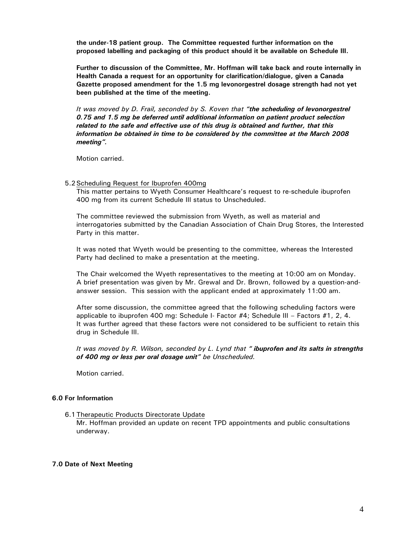**the under-18 patient group. The Committee requested further information on the proposed labelling and packaging of this product should it be available on Schedule III.** 

**Further to discussion of the Committee, Mr. Hoffman will take back and route internally in Health Canada a request for an opportunity for clarification/dialogue, given a Canada Gazette proposed amendment for the 1.5 mg levonorgestrel dosage strength had not yet been published at the time of the meeting.** 

*It was moved by D. Frail, seconded by S. Koven that "the scheduling of levonorgestrel 0.75 and 1.5 mg be deferred until additional information on patient product selection related to the safe and effective use of this drug is obtained and further, that this information be obtained in time to be considered by the committee at the March 2008 meeting".* 

Motion carried.

### 5.2 Scheduling Request for Ibuprofen 400mg

This matter pertains to Wyeth Consumer Healthcare's request to re-schedule ibuprofen 400 mg from its current Schedule III status to Unscheduled.

The committee reviewed the submission from Wyeth, as well as material and interrogatories submitted by the Canadian Association of Chain Drug Stores, the Interested Party in this matter.

It was noted that Wyeth would be presenting to the committee, whereas the Interested Party had declined to make a presentation at the meeting.

The Chair welcomed the Wyeth representatives to the meeting at 10:00 am on Monday. A brief presentation was given by Mr. Grewal and Dr. Brown, followed by a question-andanswer session. This session with the applicant ended at approximately 11:00 am.

After some discussion, the committee agreed that the following scheduling factors were applicable to ibuprofen 400 mg: Schedule I- Factor #4; Schedule III – Factors #1, 2, 4. It was further agreed that these factors were not considered to be sufficient to retain this drug in Schedule III.

*It was moved by R. Wilson, seconded by L. Lynd that " ibuprofen and its salts in strengths of 400 mg or less per oral dosage unit" be Unscheduled.* 

Motion carried.

## **6.0 For Information**

6.1 Therapeutic Products Directorate Update Mr. Hoffman provided an update on recent TPD appointments and public consultations underway.

## **7.0 Date of Next Meeting**